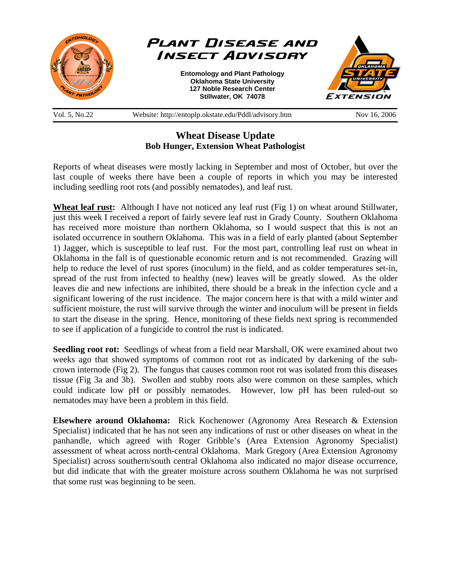

## **Wheat Disease Update Bob Hunger, Extension Wheat Pathologist**

Reports of wheat diseases were mostly lacking in September and most of October, but over the last couple of weeks there have been a couple of reports in which you may be interested including seedling root rots (and possibly nematodes), and leaf rust.

**Wheat leaf rust:** Although I have not noticed any leaf rust (Fig 1) on wheat around Stillwater, just this week I received a report of fairly severe leaf rust in Grady County. Southern Oklahoma has received more moisture than northern Oklahoma, so I would suspect that this is not an isolated occurrence in southern Oklahoma. This was in a field of early planted (about September 1) Jagger, which is susceptible to leaf rust. For the most part, controlling leaf rust on wheat in Oklahoma in the fall is of questionable economic return and is not recommended. Grazing will help to reduce the level of rust spores (inoculum) in the field, and as colder temperatures set-in, spread of the rust from infected to healthy (new) leaves will be greatly slowed. As the older leaves die and new infections are inhibited, there should be a break in the infection cycle and a significant lowering of the rust incidence. The major concern here is that with a mild winter and sufficient moisture, the rust will survive through the winter and inoculum will be present in fields to start the disease in the spring. Hence, monitoring of these fields next spring is recommended to see if application of a fungicide to control the rust is indicated.

**Seedling root rot:** Seedlings of wheat from a field near Marshall, OK were examined about two weeks ago that showed symptoms of common root rot as indicated by darkening of the subcrown internode (Fig 2). The fungus that causes common root rot was isolated from this diseases tissue (Fig 3a and 3b). Swollen and stubby roots also were common on these samples, which could indicate low pH or possibly nematodes. However, low pH has been ruled-out so nematodes may have been a problem in this field.

**Elsewhere around Oklahoma:** Rick Kochenower (Agronomy Area Research & Extension Specialist) indicated that he has not seen any indications of rust or other diseases on wheat in the panhandle, which agreed with Roger Gribble's (Area Extension Agronomy Specialist) assessment of wheat across north-central Oklahoma. Mark Gregory (Area Extension Agronomy Specialist) across southern/south central Oklahoma also indicated no major disease occurrence, but did indicate that with the greater moisture across southern Oklahoma he was not surprised that some rust was beginning to be seen.